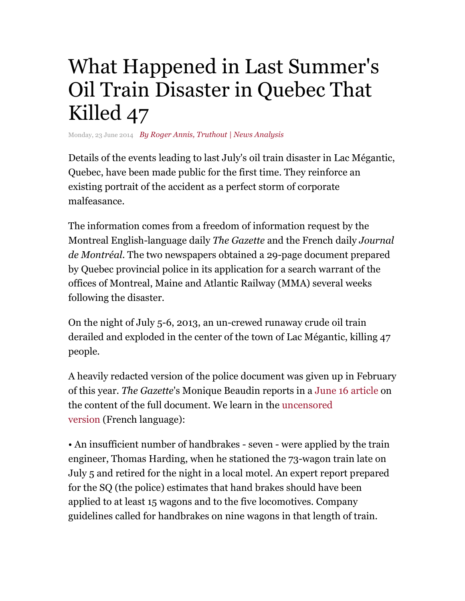## What Happened in Last Summer's Oil Train Disaster in Quebec That Killed 47

Monday, 23 June 2014 *By Roger Annis, Truthout | News Analysis*

Details of the events leading to last July's oil train disaster in Lac Mégantic, Quebec, have been made public for the first time. They reinforce an existing portrait of the accident as a perfect storm of corporate malfeasance.

The information comes from a freedom of information request by the Montreal English-language daily *The Gazette* and the French daily *Journal de Montréal*. The two newspapers obtained a 29-page document prepared by Quebec provincial police in its application for a search warrant of the offices of Montreal, Maine and Atlantic Railway (MMA) several weeks following the disaster.

On the night of July 5-6, 2013, an un-crewed runaway crude oil train derailed and exploded in the center of the town of Lac Mégantic, killing 47 people.

A heavily redacted version of the police document was given up in February of this year. *The Gazette*'s Monique Beaudin reports in a June 16 article on the content of the full document. We learn in the uncensored version (French language):

• An insufficient number of handbrakes - seven - were applied by the train engineer, Thomas Harding, when he stationed the 73-wagon train late on July 5 and retired for the night in a local motel. An expert report prepared for the SQ (the police) estimates that hand brakes should have been applied to at least 15 wagons and to the five locomotives. Company guidelines called for handbrakes on nine wagons in that length of train.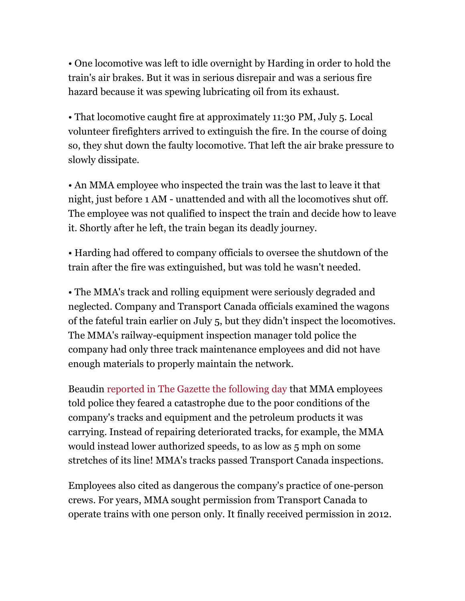• One locomotive was left to idle overnight by Harding in order to hold the train's air brakes. But it was in serious disrepair and was a serious fire hazard because it was spewing lubricating oil from its exhaust.

• That locomotive caught fire at approximately 11:30 PM, July 5. Local volunteer firefighters arrived to extinguish the fire. In the course of doing so, they shut down the faulty locomotive. That left the air brake pressure to slowly dissipate.

• An MMA employee who inspected the train was the last to leave it that night, just before 1 AM - unattended and with all the locomotives shut off. The employee was not qualified to inspect the train and decide how to leave it. Shortly after he left, the train began its deadly journey.

• Harding had offered to company officials to oversee the shutdown of the train after the fire was extinguished, but was told he wasn't needed.

• The MMA's track and rolling equipment were seriously degraded and neglected. Company and Transport Canada officials examined the wagons of the fateful train earlier on July 5, but they didn't inspect the locomotives. The MMA's railway-equipment inspection manager told police the company had only three track maintenance employees and did not have enough materials to properly maintain the network.

Beaudin reported in The Gazette the following day that MMA employees told police they feared a catastrophe due to the poor conditions of the company's tracks and equipment and the petroleum products it was carrying. Instead of repairing deteriorated tracks, for example, the MMA would instead lower authorized speeds, to as low as 5 mph on some stretches of its line! MMA's tracks passed Transport Canada inspections.

Employees also cited as dangerous the company's practice of one-person crews. For years, MMA sought permission from Transport Canada to operate trains with one person only. It finally received permission in 2012.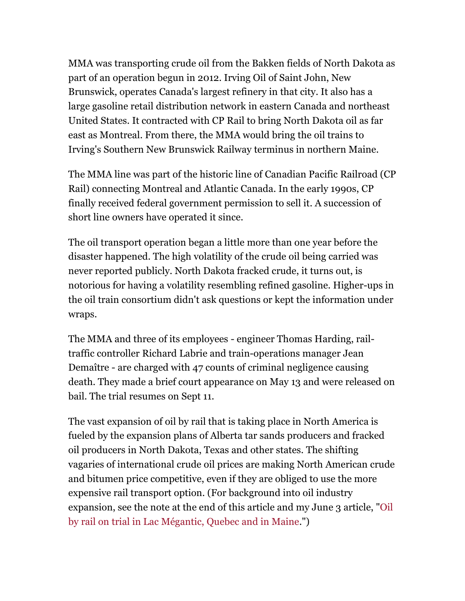MMA was transporting crude oil from the Bakken fields of North Dakota as part of an operation begun in 2012. Irving Oil of Saint John, New Brunswick, operates Canada's largest refinery in that city. It also has a large gasoline retail distribution network in eastern Canada and northeast United States. It contracted with CP Rail to bring North Dakota oil as far east as Montreal. From there, the MMA would bring the oil trains to Irving's Southern New Brunswick Railway terminus in northern Maine.

The MMA line was part of the historic line of Canadian Pacific Railroad (CP Rail) connecting Montreal and Atlantic Canada. In the early 1990s, CP finally received federal government permission to sell it. A succession of short line owners have operated it since.

The oil transport operation began a little more than one year before the disaster happened. The high volatility of the crude oil being carried was never reported publicly. North Dakota fracked crude, it turns out, is notorious for having a volatility resembling refined gasoline. Higher-ups in the oil train consortium didn't ask questions or kept the information under wraps.

The MMA and three of its employees - engineer Thomas Harding, railtraffic controller Richard Labrie and train-operations manager Jean Demaître - are charged with 47 counts of criminal negligence causing death. They made a brief court appearance on May 13 and were released on bail. The trial resumes on Sept 11.

The vast expansion of oil by rail that is taking place in North America is fueled by the expansion plans of Alberta tar sands producers and fracked oil producers in North Dakota, Texas and other states. The shifting vagaries of international crude oil prices are making North American crude and bitumen price competitive, even if they are obliged to use the more expensive rail transport option. (For background into oil industry expansion, see the note at the end of this article and my June 3 article, "Oil by rail on trial in Lac Mégantic, Quebec and in Maine.")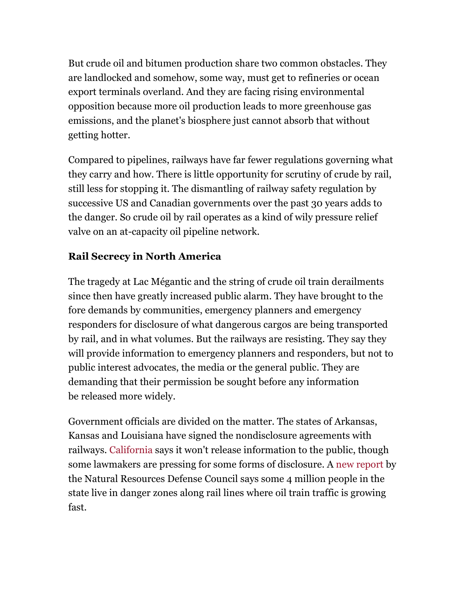But crude oil and bitumen production share two common obstacles. They are landlocked and somehow, some way, must get to refineries or ocean export terminals overland. And they are facing rising environmental opposition because more oil production leads to more greenhouse gas emissions, and the planet's biosphere just cannot absorb that without getting hotter.

Compared to pipelines, railways have far fewer regulations governing what they carry and how. There is little opportunity for scrutiny of crude by rail, still less for stopping it. The dismantling of railway safety regulation by successive US and Canadian governments over the past 30 years adds to the danger. So crude oil by rail operates as a kind of wily pressure relief valve on an at-capacity oil pipeline network.

## **Rail Secrecy in North America**

The tragedy at Lac Mégantic and the string of crude oil train derailments since then have greatly increased public alarm. They have brought to the fore demands by communities, emergency planners and emergency responders for disclosure of what dangerous cargos are being transported by rail, and in what volumes. But the railways are resisting. They say they will provide information to emergency planners and responders, but not to public interest advocates, the media or the general public. They are demanding that their permission be sought before any information be released more widely.

Government officials are divided on the matter. The states of Arkansas, Kansas and Louisiana have signed the nondisclosure agreements with railways. California says it won't release information to the public, though some lawmakers are pressing for some forms of disclosure. A new report by the Natural Resources Defense Council says some 4 million people in the state live in danger zones along rail lines where oil train traffic is growing fast.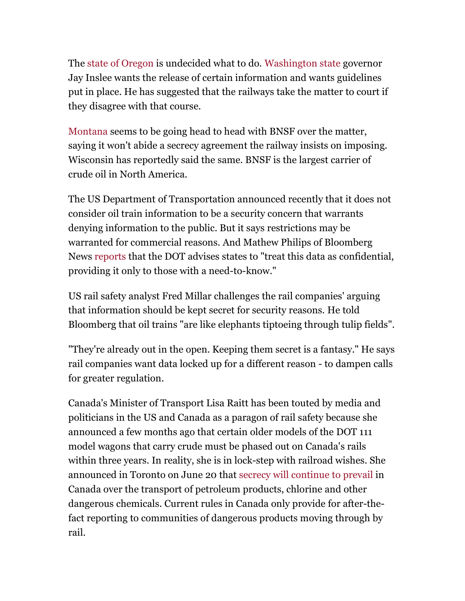The state of Oregon is undecided what to do. Washington state governor Jay Inslee wants the release of certain information and wants guidelines put in place. He has suggested that the railways take the matter to court if they disagree with that course.

Montana seems to be going head to head with BNSF over the matter, saying it won't abide a secrecy agreement the railway insists on imposing. Wisconsin has reportedly said the same. BNSF is the largest carrier of crude oil in North America.

The US Department of Transportation announced recently that it does not consider oil train information to be a security concern that warrants denying information to the public. But it says restrictions may be warranted for commercial reasons. And Mathew Philips of Bloomberg News reports that the DOT advises states to "treat this data as confidential, providing it only to those with a need-to-know."

US rail safety analyst Fred Millar challenges the rail companies' arguing that information should be kept secret for security reasons. He told Bloomberg that oil trains "are like elephants tiptoeing through tulip fields".

"They're already out in the open. Keeping them secret is a fantasy." He says rail companies want data locked up for a different reason - to dampen calls for greater regulation.

Canada's Minister of Transport Lisa Raitt has been touted by media and politicians in the US and Canada as a paragon of rail safety because she announced a few months ago that certain older models of the DOT 111 model wagons that carry crude must be phased out on Canada's rails within three years. In reality, she is in lock-step with railroad wishes. She announced in Toronto on June 20 that secrecy will continue to prevail in Canada over the transport of petroleum products, chlorine and other dangerous chemicals. Current rules in Canada only provide for after-thefact reporting to communities of dangerous products moving through by rail.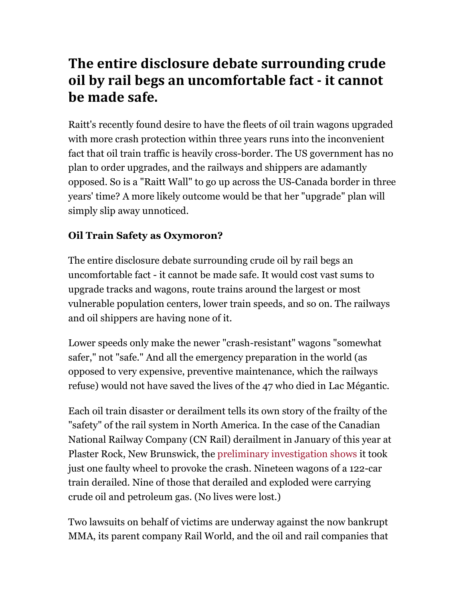## **The entire disclosure debate surrounding crude oil by rail begs an uncomfortable fact - it cannot be made safe.**

Raitt's recently found desire to have the fleets of oil train wagons upgraded with more crash protection within three years runs into the inconvenient fact that oil train traffic is heavily cross-border. The US government has no plan to order upgrades, and the railways and shippers are adamantly opposed. So is a "Raitt Wall" to go up across the US-Canada border in three years' time? A more likely outcome would be that her "upgrade" plan will simply slip away unnoticed.

## **Oil Train Safety as Oxymoron?**

The entire disclosure debate surrounding crude oil by rail begs an uncomfortable fact - it cannot be made safe. It would cost vast sums to upgrade tracks and wagons, route trains around the largest or most vulnerable population centers, lower train speeds, and so on. The railways and oil shippers are having none of it.

Lower speeds only make the newer "crash-resistant" wagons "somewhat safer," not "safe." And all the emergency preparation in the world (as opposed to very expensive, preventive maintenance, which the railways refuse) would not have saved the lives of the 47 who died in Lac Mégantic.

Each oil train disaster or derailment tells its own story of the frailty of the "safety" of the rail system in North America. In the case of the Canadian National Railway Company (CN Rail) derailment in January of this year at Plaster Rock, New Brunswick, the preliminary investigation shows it took just one faulty wheel to provoke the crash. Nineteen wagons of a 122-car train derailed. Nine of those that derailed and exploded were carrying crude oil and petroleum gas. (No lives were lost.)

Two lawsuits on behalf of victims are underway against the now bankrupt MMA, its parent company Rail World, and the oil and rail companies that